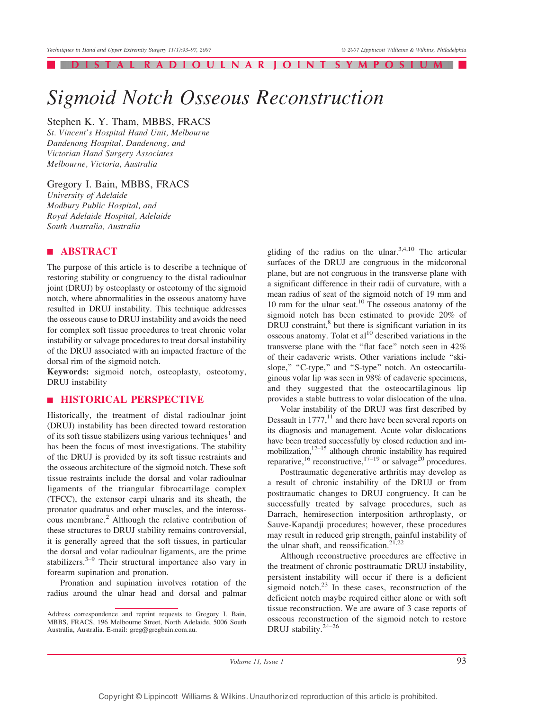#### DISTAL RADIOULNAR JOINT SYMPOSIU

# Sigmoid Notch Osseous Reconstruction

# Stephen K. Y. Tham, MBBS, FRACS

St. Vincent's Hospital Hand Unit, Melbourne Dandenong Hospital, Dandenong, and Victorian Hand Surgery Associates Melbourne, Victoria, Australia

#### Gregory I. Bain, MBBS, FRACS

University of Adelaide Modbury Public Hospital, and Royal Adelaide Hospital, Adelaide South Australia, Australia

# | ABSTRACT

The purpose of this article is to describe a technique of restoring stability or congruency to the distal radioulnar joint (DRUJ) by osteoplasty or osteotomy of the sigmoid notch, where abnormalities in the osseous anatomy have resulted in DRUJ instability. This technique addresses the osseous cause to DRUJ instability and avoids the need for complex soft tissue procedures to treat chronic volar instability or salvage procedures to treat dorsal instability of the DRUJ associated with an impacted fracture of the dorsal rim of the sigmoid notch.

Keywords: sigmoid notch, osteoplasty, osteotomy, DRUJ instability

## | HISTORICAL PERSPECTIVE

Historically, the treatment of distal radioulnar joint (DRUJ) instability has been directed toward restoration of its soft tissue stabilizers using various techniques<sup>1</sup> and has been the focus of most investigations. The stability of the DRUJ is provided by its soft tissue restraints and the osseous architecture of the sigmoid notch. These soft tissue restraints include the dorsal and volar radioulnar ligaments of the triangular fibrocartilage complex (TFCC), the extensor carpi ulnaris and its sheath, the pronator quadratus and other muscles, and the interosseous membrane.<sup>2</sup> Although the relative contribution of these structures to DRUJ stability remains controversial, it is generally agreed that the soft tissues, in particular the dorsal and volar radioulnar ligaments, are the prime stabilizers.<sup>3-9</sup> Their structural importance also vary in forearm supination and pronation.

Pronation and supination involves rotation of the radius around the ulnar head and dorsal and palmar

gliding of the radius on the ulnar.<sup>3,4,10</sup> The articular surfaces of the DRUJ are congruous in the midcoronal plane, but are not congruous in the transverse plane with a significant difference in their radii of curvature, with a mean radius of seat of the sigmoid notch of 19 mm and 10 mm for the ulnar seat.<sup>10</sup> The osseous anatomy of the sigmoid notch has been estimated to provide 20% of DRUJ constraint,<sup>8</sup> but there is significant variation in its osseous anatomy. Tolat et  $al<sup>10</sup>$  described variations in the transverse plane with the "flat face" notch seen in 42% of their cadaveric wrists. Other variations include ''skislope," "C-type," and "S-type" notch. An osteocartilaginous volar lip was seen in 98% of cadaveric specimens, and they suggested that the osteocartilaginous lip provides a stable buttress to volar dislocation of the ulna.

Volar instability of the DRUJ was first described by Dessault in  $1777$ ,<sup>11</sup> and there have been several reports on its diagnosis and management. Acute volar dislocations have been treated successfully by closed reduction and immobilization, $12-15$  although chronic instability has required reparative,<sup>16</sup> reconstructive,<sup>17-19</sup> or salvage<sup>20</sup> procedures.

Posttraumatic degenerative arthritis may develop as a result of chronic instability of the DRUJ or from posttraumatic changes to DRUJ congruency. It can be successfully treated by salvage procedures, such as Darrach, hemiresection interposition arthroplasty, or Sauve-Kapandji procedures; however, these procedures may result in reduced grip strength, painful instability of the ulnar shaft, and reossification. $21,22$ 

Although reconstructive procedures are effective in the treatment of chronic posttraumatic DRUJ instability, persistent instability will occur if there is a deficient sigmoid notch. $^{23}$  In these cases, reconstruction of the deficient notch maybe required either alone or with soft tissue reconstruction. We are aware of 3 case reports of osseous reconstruction of the sigmoid notch to restore DRUJ stability. $24-26$ 

Volume 11, Issue 1 93

Address correspondence and reprint requests to Gregory I. Bain, MBBS, FRACS, 196 Melbourne Street, North Adelaide, 5006 South Australia, Australia. E-mail: greg@gregbain.com.au.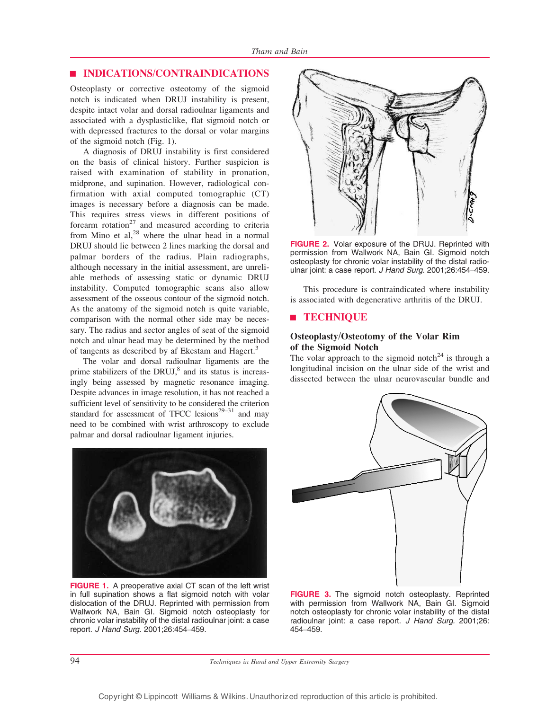## | INDICATIONS/CONTRAINDICATIONS

Osteoplasty or corrective osteotomy of the sigmoid notch is indicated when DRUJ instability is present, despite intact volar and dorsal radioulnar ligaments and associated with a dysplasticlike, flat sigmoid notch or with depressed fractures to the dorsal or volar margins of the sigmoid notch (Fig. 1).

A diagnosis of DRUJ instability is first considered on the basis of clinical history. Further suspicion is raised with examination of stability in pronation, midprone, and supination. However, radiological confirmation with axial computed tomographic (CT) images is necessary before a diagnosis can be made. This requires stress views in different positions of forearm  $rotation<sup>27</sup>$  and measured according to criteria from Mino et al, $^{28}$  where the ulnar head in a normal DRUJ should lie between 2 lines marking the dorsal and palmar borders of the radius. Plain radiographs, although necessary in the initial assessment, are unreliable methods of assessing static or dynamic DRUJ instability. Computed tomographic scans also allow assessment of the osseous contour of the sigmoid notch. As the anatomy of the sigmoid notch is quite variable, comparison with the normal other side may be necessary. The radius and sector angles of seat of the sigmoid notch and ulnar head may be determined by the method of tangents as described by af Ekestam and Hagert.<sup>3</sup>

The volar and dorsal radioulnar ligaments are the prime stabilizers of the DRUJ, $<sup>8</sup>$  and its status is increas-</sup> ingly being assessed by magnetic resonance imaging. Despite advances in image resolution, it has not reached a sufficient level of sensitivity to be considered the criterion standard for assessment of TFCC lesions<sup>29-31</sup> and may need to be combined with wrist arthroscopy to exclude palmar and dorsal radioulnar ligament injuries.



FIGURE 1. A preoperative axial CT scan of the left wrist in full supination shows a flat sigmoid notch with volar dislocation of the DRUJ. Reprinted with permission from Wallwork NA, Bain GI. Sigmoid notch osteoplasty for chronic volar instability of the distal radioulnar joint: a case report. J Hand Surg. 2001;26:454-459.



FIGURE 2. Volar exposure of the DRUJ. Reprinted with permission from Wallwork NA, Bain GI. Sigmoid notch osteoplasty for chronic volar instability of the distal radioulnar joint: a case report. J Hand Surg. 2001;26:454-459.

This procedure is contraindicated where instability is associated with degenerative arthritis of the DRUJ.

## | TECHNIQUE

# Osteoplasty/Osteotomy of the Volar Rim of the Sigmoid Notch

The volar approach to the sigmoid notch<sup>24</sup> is through a longitudinal incision on the ulnar side of the wrist and dissected between the ulnar neurovascular bundle and



FIGURE 3. The sigmoid notch osteoplasty. Reprinted with permission from Wallwork NA, Bain GI. Sigmoid notch osteoplasty for chronic volar instability of the distal radioulnar joint: a case report. J Hand Surg. 2001;26: 454-459.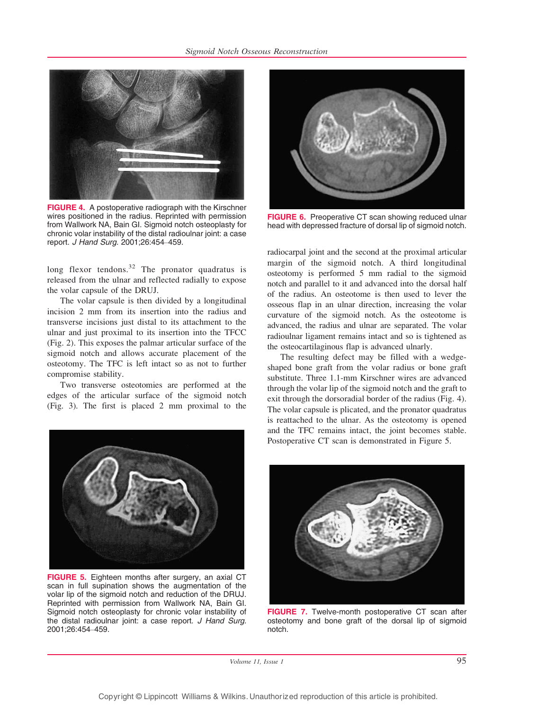

FIGURE 4. A postoperative radiograph with the Kirschner wires positioned in the radius. Reprinted with permission from Wallwork NA, Bain GI. Sigmoid notch osteoplasty for chronic volar instability of the distal radioulnar joint: a case report. J Hand Surg. 2001;26:454-459.

long flexor tendons.<sup>32</sup> The pronator quadratus is released from the ulnar and reflected radially to expose the volar capsule of the DRUJ.

The volar capsule is then divided by a longitudinal incision 2 mm from its insertion into the radius and transverse incisions just distal to its attachment to the ulnar and just proximal to its insertion into the TFCC (Fig. 2). This exposes the palmar articular surface of the sigmoid notch and allows accurate placement of the osteotomy. The TFC is left intact so as not to further compromise stability.

Two transverse osteotomies are performed at the edges of the articular surface of the sigmoid notch (Fig. 3). The first is placed 2 mm proximal to the



**FIGURE 6.** Preoperative CT scan showing reduced ulnar head with depressed fracture of dorsal lip of sigmoid notch.

radiocarpal joint and the second at the proximal articular margin of the sigmoid notch. A third longitudinal osteotomy is performed 5 mm radial to the sigmoid notch and parallel to it and advanced into the dorsal half of the radius. An osteotome is then used to lever the osseous flap in an ulnar direction, increasing the volar curvature of the sigmoid notch. As the osteotome is advanced, the radius and ulnar are separated. The volar radioulnar ligament remains intact and so is tightened as the osteocartilaginous flap is advanced ulnarly.

The resulting defect may be filled with a wedgeshaped bone graft from the volar radius or bone graft substitute. Three 1.1-mm Kirschner wires are advanced through the volar lip of the sigmoid notch and the graft to exit through the dorsoradial border of the radius (Fig. 4). The volar capsule is plicated, and the pronator quadratus is reattached to the ulnar. As the osteotomy is opened and the TFC remains intact, the joint becomes stable. Postoperative CT scan is demonstrated in Figure 5.



FIGURE 5. Eighteen months after surgery, an axial CT scan in full supination shows the augmentation of the volar lip of the sigmoid notch and reduction of the DRUJ. Reprinted with permission from Wallwork NA, Bain GI. Sigmoid notch osteoplasty for chronic volar instability of the distal radioulnar joint: a case report. J Hand Surg. 2001;26:454-459.



FIGURE 7. Twelve-month postoperative CT scan after osteotomy and bone graft of the dorsal lip of sigmoid notch.

Volume 11, Issue 1 95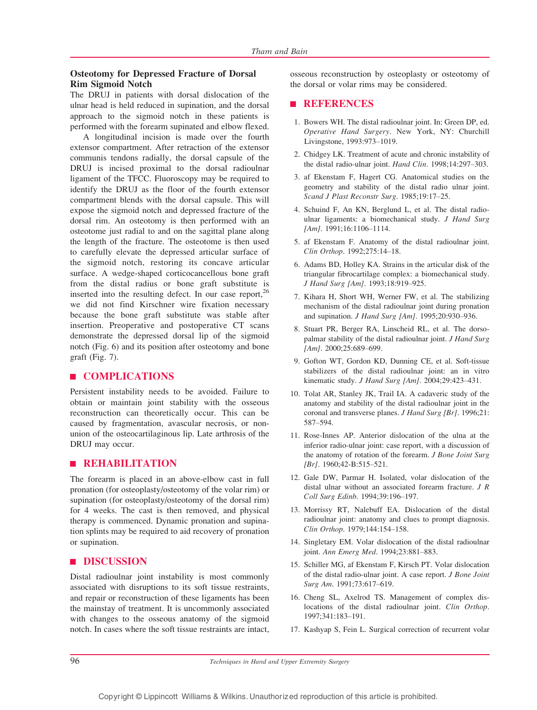## Osteotomy for Depressed Fracture of Dorsal Rim Sigmoid Notch

The DRUJ in patients with dorsal dislocation of the ulnar head is held reduced in supination, and the dorsal approach to the sigmoid notch in these patients is performed with the forearm supinated and elbow flexed.

A longitudinal incision is made over the fourth extensor compartment. After retraction of the extensor communis tendons radially, the dorsal capsule of the DRUJ is incised proximal to the dorsal radioulnar ligament of the TFCC. Fluoroscopy may be required to identify the DRUJ as the floor of the fourth extensor compartment blends with the dorsal capsule. This will expose the sigmoid notch and depressed fracture of the dorsal rim. An osteotomy is then performed with an osteotome just radial to and on the sagittal plane along the length of the fracture. The osteotome is then used to carefully elevate the depressed articular surface of the sigmoid notch, restoring its concave articular surface. A wedge-shaped corticocancellous bone graft from the distal radius or bone graft substitute is inserted into the resulting defect. In our case report,  $26$ we did not find Kirschner wire fixation necessary because the bone graft substitute was stable after insertion. Preoperative and postoperative CT scans demonstrate the depressed dorsal lip of the sigmoid notch (Fig. 6) and its position after osteotomy and bone graft (Fig. 7).

## | COMPLICATIONS

Persistent instability needs to be avoided. Failure to obtain or maintain joint stability with the osseous reconstruction can theoretically occur. This can be caused by fragmentation, avascular necrosis, or nonunion of the osteocartilaginous lip. Late arthrosis of the DRUJ may occur.

#### **E REHABILITATION**

The forearm is placed in an above-elbow cast in full pronation (for osteoplasty/osteotomy of the volar rim) or supination (for osteoplasty/osteotomy of the dorsal rim) for 4 weeks. The cast is then removed, and physical therapy is commenced. Dynamic pronation and supination splints may be required to aid recovery of pronation or supination.

# **DISCUSSION**

Distal radioulnar joint instability is most commonly associated with disruptions to its soft tissue restraints, and repair or reconstruction of these ligaments has been the mainstay of treatment. It is uncommonly associated with changes to the osseous anatomy of the sigmoid notch. In cases where the soft tissue restraints are intact, osseous reconstruction by osteoplasty or osteotomy of the dorsal or volar rims may be considered.

#### | REFERENCES

- 1. Bowers WH. The distal radioulnar joint. In: Green DP, ed. Operative Hand Surgery. New York, NY: Churchill Livingstone, 1993:973-1019.
- 2. Chidgey LK. Treatment of acute and chronic instability of the distal radio-ulnar joint. Hand Clin. 1998;14:297-303.
- 3. af Ekenstam F, Hagert CG. Anatomical studies on the geometry and stability of the distal radio ulnar joint. Scand J Plast Reconstr Surg. 1985;19:17-25.
- 4. Schuind F, An KN, Berglund L, et al. The distal radioulnar ligaments: a biomechanical study. J Hand Surg  $[Am]$ . 1991;16:1106-1114.
- 5. af Ekenstam F. Anatomy of the distal radioulnar joint. Clin Orthop. 1992;275:14-18.
- 6. Adams BD, Holley KA. Strains in the articular disk of the triangular fibrocartilage complex: a biomechanical study. J Hand Surg [Am]. 1993;18:919-925.
- 7. Kihara H, Short WH, Werner FW, et al. The stabilizing mechanism of the distal radioulnar joint during pronation and supination. J Hand Surg [Am]. 1995;20:930-936.
- 8. Stuart PR, Berger RA, Linscheid RL, et al. The dorsopalmar stability of the distal radioulnar joint. J Hand Surg  $[Am]$ . 2000;25:689-699.
- 9. Gofton WT, Gordon KD, Dunning CE, et al. Soft-tissue stabilizers of the distal radioulnar joint: an in vitro kinematic study. J Hand Surg [Am]. 2004;29:423-431.
- 10. Tolat AR, Stanley JK, Trail IA. A cadaveric study of the anatomy and stability of the distal radioulnar joint in the coronal and transverse planes. J Hand Surg [Br]. 1996;21: 587-594.
- 11. Rose-Innes AP. Anterior dislocation of the ulna at the inferior radio-ulnar joint: case report, with a discussion of the anatomy of rotation of the forearm. *J Bone Joint Surg*  $[Br]$ . 1960;42-B:515-521.
- 12. Gale DW, Parmar H. Isolated, volar dislocation of the distal ulnar without an associated forearm fracture. J R Coll Surg Edinb. 1994;39:196-197.
- 13. Morrissy RT, Nalebuff EA. Dislocation of the distal radioulnar joint: anatomy and clues to prompt diagnosis. Clin Orthop. 1979;144:154-158.
- 14. Singletary EM. Volar dislocation of the distal radioulnar joint. Ann Emerg Med. 1994;23:881-883.
- 15. Schiller MG, af Ekenstam F, Kirsch PT. Volar dislocation of the distal radio-ulnar joint. A case report. J Bone Joint Surg Am. 1991;73:617-619.
- 16. Cheng SL, Axelrod TS. Management of complex dislocations of the distal radioulnar joint. Clin Orthop. 1997;341:183-191.
- 17. Kashyap S, Fein L. Surgical correction of recurrent volar